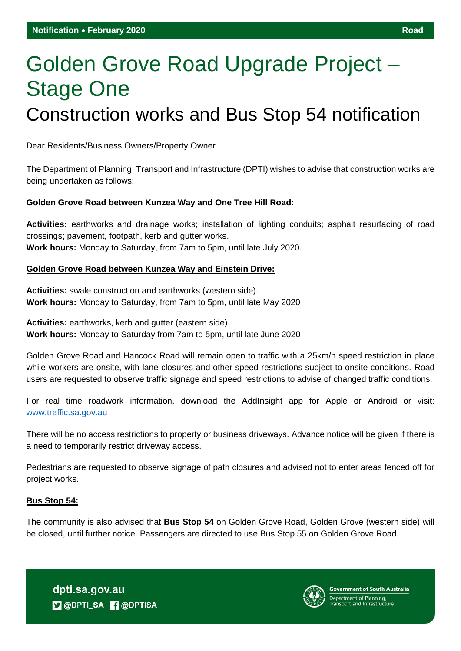# Golden Grove Road Upgrade Project – Stage One Construction works and Bus Stop 54 notification

Dear Residents/Business Owners/Property Owner

The Department of Planning, Transport and Infrastructure (DPTI) wishes to advise that construction works are being undertaken as follows:

# **Golden Grove Road between Kunzea Way and One Tree Hill Road:**

**Activities:** earthworks and drainage works; installation of lighting conduits; asphalt resurfacing of road crossings; pavement, footpath, kerb and gutter works. **Work hours:** Monday to Saturday, from 7am to 5pm, until late July 2020.

## **Golden Grove Road between Kunzea Way and Einstein Drive:**

**Activities:** swale construction and earthworks (western side). **Work hours:** Monday to Saturday, from 7am to 5pm, until late May 2020

**Activities:** earthworks, kerb and gutter (eastern side). **Work hours:** Monday to Saturday from 7am to 5pm, until late June 2020

Golden Grove Road and Hancock Road will remain open to traffic with a 25km/h speed restriction in place while workers are onsite, with lane closures and other speed restrictions subject to onsite conditions. Road users are requested to observe traffic signage and speed restrictions to advise of changed traffic conditions.

For real time roadwork information, download the AddInsight app for Apple or Android or visit: [www.traffic.sa.gov.au](http://www.traffic.sa.gov.au/)

There will be no access restrictions to property or business driveways. Advance notice will be given if there is a need to temporarily restrict driveway access.

Pedestrians are requested to observe signage of path closures and advised not to enter areas fenced off for project works.

## **Bus Stop 54:**

The community is also advised that **Bus Stop 54** on Golden Grove Road, Golden Grove (western side) will be closed, until further notice. Passengers are directed to use Bus Stop 55 on Golden Grove Road.

dpti.sa.gov.au **D** @DPTI\_SA **R** @DPTISA



**Government of South Australia**